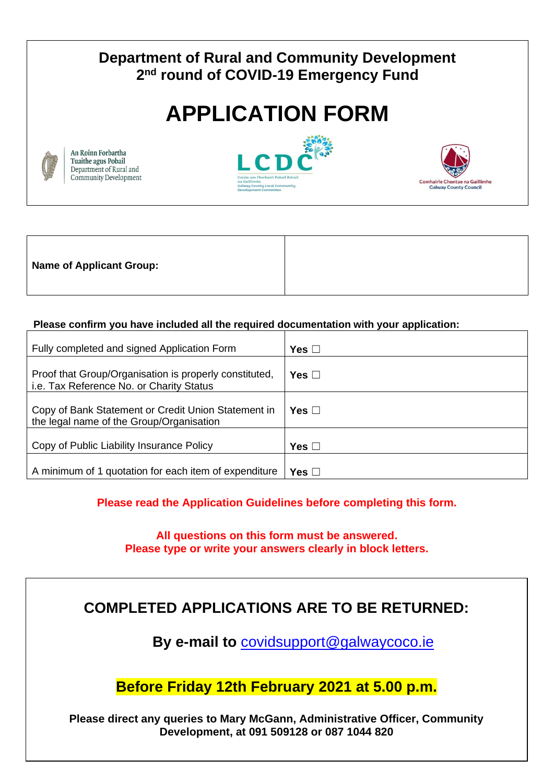# **Department of Rural and Community Development 2 nd round of COVID-19 Emergency Fund**

# **APPLICATION FORM**



An Roinn Forbartha Tuaithe agus Pobail Department of Rural and Community Development





| <b>Name of Applicant Group:</b> |  |
|---------------------------------|--|
|                                 |  |

#### **Please confirm you have included all the required documentation with your application:**

| Fully completed and signed Application Form                                                        | Yes $\Box$ |
|----------------------------------------------------------------------------------------------------|------------|
| Proof that Group/Organisation is properly constituted,<br>i.e. Tax Reference No. or Charity Status | Yes ⊟      |
| Copy of Bank Statement or Credit Union Statement in<br>the legal name of the Group/Organisation    | Yes $\Box$ |
| Copy of Public Liability Insurance Policy                                                          | Yes ⊡      |
| A minimum of 1 quotation for each item of expenditure                                              | Yes ⊡      |

**Please read the Application Guidelines before completing this form.**

**All questions on this form must be answered. Please type or write your answers clearly in block letters.**

# **COMPLETED APPLICATIONS ARE TO BE RETURNED:**

**By e-mail to** [covidsupport@galwaycoco.ie](mailto:covidsupport@galwaycoco.ie)

**Before Friday 12th February 2021 at 5.00 p.m.**

**Please direct any queries to Mary McGann, Administrative Officer, Community Development, at 091 509128 or 087 1044 820**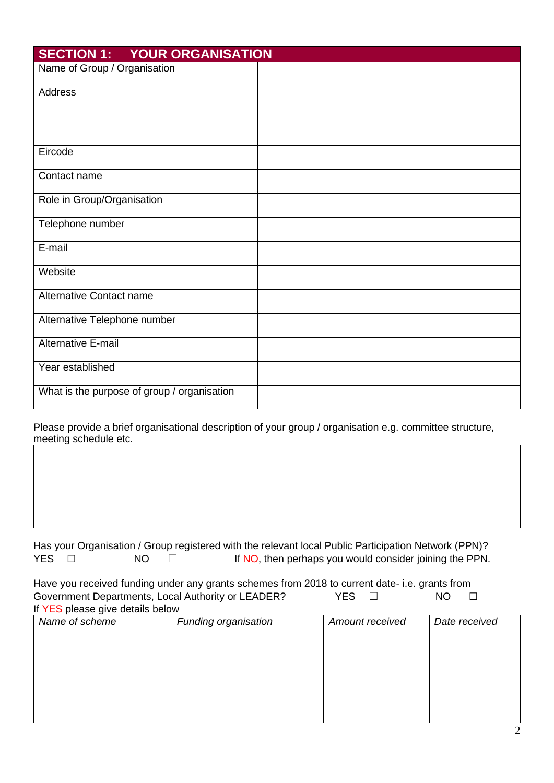| <b>SECTION 1: YOUR ORGANISATION</b>         |  |
|---------------------------------------------|--|
| Name of Group / Organisation                |  |
| Address                                     |  |
|                                             |  |
|                                             |  |
| Eircode                                     |  |
| Contact name                                |  |
| Role in Group/Organisation                  |  |
| Telephone number                            |  |
| E-mail                                      |  |
| Website                                     |  |
| Alternative Contact name                    |  |
| Alternative Telephone number                |  |
| Alternative E-mail                          |  |
| Year established                            |  |
| What is the purpose of group / organisation |  |

Please provide a brief organisational description of your group / organisation e.g. committee structure, meeting schedule etc.

|       |  |                      |  |  |  | Has your Organisation / Group registered with the relevant local Public Participation Network (PPN)? |
|-------|--|----------------------|--|--|--|------------------------------------------------------------------------------------------------------|
| YES O |  | NO 1<br>$\mathbb{Z}$ |  |  |  | If NO, then perhaps you would consider joining the PPN.                                              |

Have you received funding under any grants schemes from 2018 to current date- i.e. grants from Government Departments, Local Authority or LEADER? YES □ NO □ If YES please give details below

| Name of scheme | Funding organisation | <b>Amount received</b> | Date received |
|----------------|----------------------|------------------------|---------------|
|                |                      |                        |               |
|                |                      |                        |               |
|                |                      |                        |               |
|                |                      |                        |               |
|                |                      |                        |               |
|                |                      |                        |               |
|                |                      |                        |               |
|                |                      |                        |               |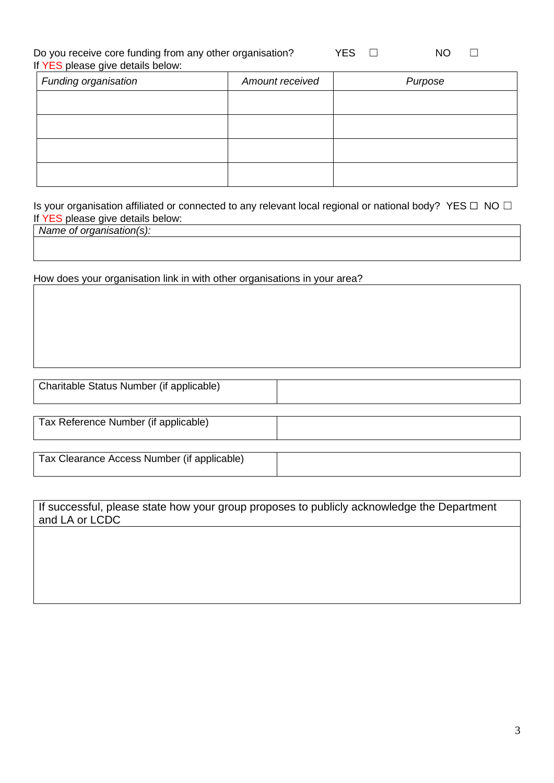Do you receive core funding from any other organisation? If YES please give details below:

| YES. | NΟ |  |
|------|----|--|
|      |    |  |

| II LES pied se give details below. |                 |         |
|------------------------------------|-----------------|---------|
| Funding organisation               | Amount received | Purpose |
|                                    |                 |         |
|                                    |                 |         |
|                                    |                 |         |

Is your organisation affiliated or connected to any relevant local regional or national body? YES □ NO □ If YES please give details below:

*Name of organisation(s):*

How does your organisation link in with other organisations in your area?

| Charitable Status Number (if applicable)    |  |
|---------------------------------------------|--|
| Tax Reference Number (if applicable)        |  |
| Tax Clearance Access Number (if applicable) |  |

| If successful, please state how your group proposes to publicly acknowledge the Department |  |
|--------------------------------------------------------------------------------------------|--|
| and LA or LCDC                                                                             |  |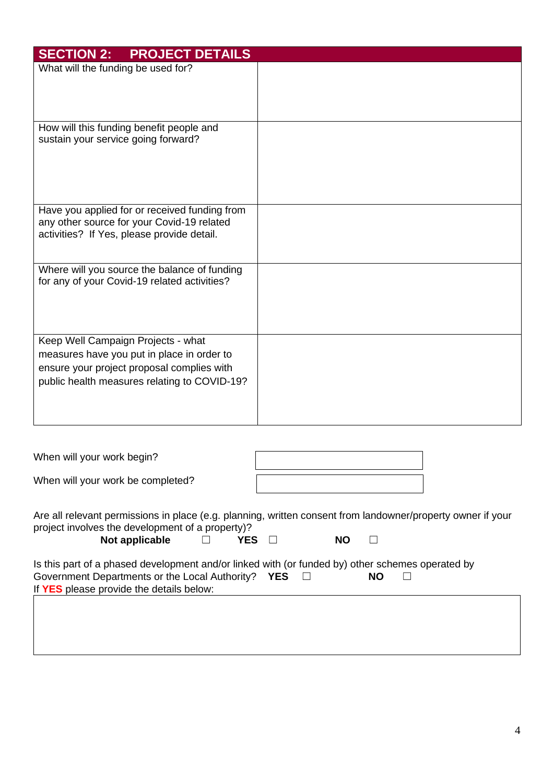| <b>SECTION 2:</b><br><b>PROJECT DETAILS</b>                                                                                                                                    |  |
|--------------------------------------------------------------------------------------------------------------------------------------------------------------------------------|--|
| What will the funding be used for?                                                                                                                                             |  |
| How will this funding benefit people and<br>sustain your service going forward?                                                                                                |  |
| Have you applied for or received funding from<br>any other source for your Covid-19 related<br>activities? If Yes, please provide detail.                                      |  |
| Where will you source the balance of funding<br>for any of your Covid-19 related activities?                                                                                   |  |
| Keep Well Campaign Projects - what<br>measures have you put in place in order to<br>ensure your project proposal complies with<br>public health measures relating to COVID-19? |  |

| When will your work begin?        |  |
|-----------------------------------|--|
| When will your work be completed? |  |
|                                   |  |

Are all relevant permissions in place (e.g. planning, written consent from landowner/property owner if your project involves the development of a property)?

| Not applicable |  | <b>YES</b> | NΟ |  |
|----------------|--|------------|----|--|
|----------------|--|------------|----|--|

| <b>NO</b> |  |
|-----------|--|
|           |  |

| Is this part of a phased development and/or linked with (or funded by) other schemes operated by |  |     |  |
|--------------------------------------------------------------------------------------------------|--|-----|--|
| Government Departments or the Local Authority? YES                                               |  | NO. |  |
| If YES please provide the details below:                                                         |  |     |  |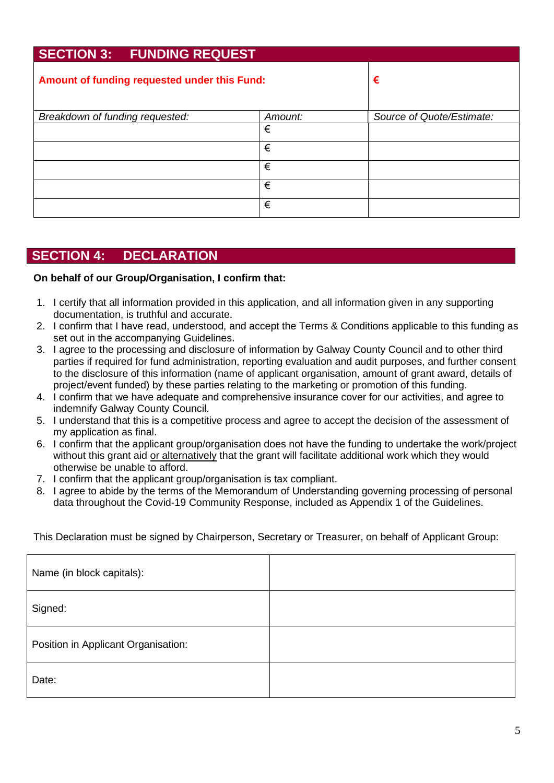# **SECTION 3: FUNDING REQUEST Amount of funding requested under this Fund: €** *Breakdown of funding requested: Amount: Source of Quote/Estimate:* € € € € €

## **SECTION 4: DECLARATION**

#### **On behalf of our Group/Organisation, I confirm that:**

- 1. I certify that all information provided in this application, and all information given in any supporting documentation, is truthful and accurate.
- 2. I confirm that I have read, understood, and accept the Terms & Conditions applicable to this funding as set out in the accompanying Guidelines.
- 3. I agree to the processing and disclosure of information by Galway County Council and to other third parties if required for fund administration, reporting evaluation and audit purposes, and further consent to the disclosure of this information (name of applicant organisation, amount of grant award, details of project/event funded) by these parties relating to the marketing or promotion of this funding.
- 4. I confirm that we have adequate and comprehensive insurance cover for our activities, and agree to indemnify Galway County Council.
- 5. I understand that this is a competitive process and agree to accept the decision of the assessment of my application as final.
- 6. I confirm that the applicant group/organisation does not have the funding to undertake the work/project without this grant aid or alternatively that the grant will facilitate additional work which they would otherwise be unable to afford.
- 7. I confirm that the applicant group/organisation is tax compliant.
- 8. I agree to abide by the terms of the Memorandum of Understanding governing processing of personal data throughout the Covid-19 Community Response, included as Appendix 1 of the Guidelines.

This Declaration must be signed by Chairperson, Secretary or Treasurer, on behalf of Applicant Group:

| Name (in block capitals):           |  |
|-------------------------------------|--|
| Signed:                             |  |
| Position in Applicant Organisation: |  |
| Date:                               |  |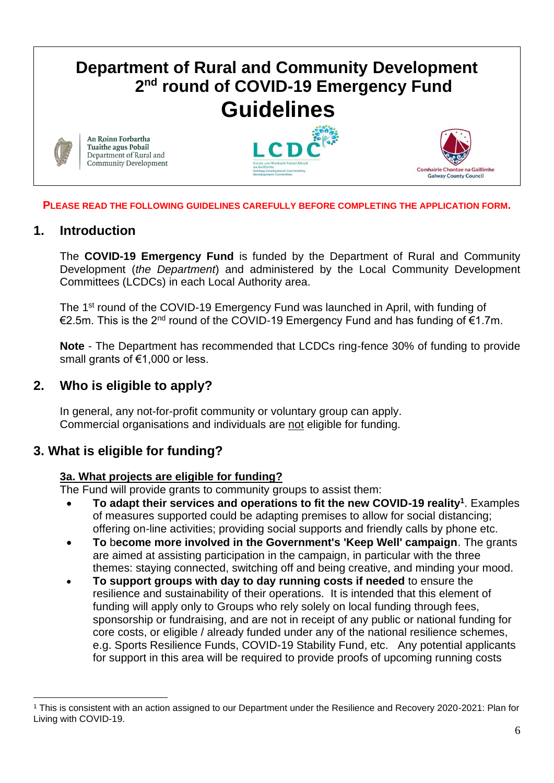## **Department of Rural and Community Development 2 nd round of COVID-19 Emergency Fund Guidelines** An Roinn Forbartha Tuaithe agus Pobail Department of Rural and **Community Development** Comhairle Chontae na Gaillimhe **Galway County Council**

#### **PLEASE READ THE FOLLOWING GUIDELINES CAREFULLY BEFORE COMPLETING THE APPLICATION FORM.**

## **1. Introduction**

The **COVID-19 Emergency Fund** is funded by the Department of Rural and Community Development (*the Department*) and administered by the Local Community Development Committees (LCDCs) in each Local Authority area.

The 1<sup>st</sup> round of the COVID-19 Emergency Fund was launched in April, with funding of €2.5m. This is the 2nd round of the COVID-19 Emergency Fund and has funding of €1.7m.

**Note** - The Department has recommended that LCDCs ring-fence 30% of funding to provide small grants of €1,000 or less.

## **2. Who is eligible to apply?**

In general, any not-for-profit community or voluntary group can apply. Commercial organisations and individuals are not eligible for funding.

## **3. What is eligible for funding?**

## **3a. What projects are eligible for funding?**

The Fund will provide grants to community groups to assist them:

- **To adapt their services and operations to fit the new COVID-19 reality<sup>1</sup>** . Examples of measures supported could be adapting premises to allow for social distancing; offering on-line activities; providing social supports and friendly calls by phone etc.
- **To** b**ecome more involved in the Government's 'Keep Well' campaign**. The grants are aimed at assisting participation in the campaign, in particular with the three themes: staying connected, switching off and being creative, and minding your mood.
- **To support groups with day to day running costs if needed** to ensure the resilience and sustainability of their operations. It is intended that this element of funding will apply only to Groups who rely solely on local funding through fees, sponsorship or fundraising, and are not in receipt of any public or national funding for core costs, or eligible / already funded under any of the national resilience schemes, e.g. Sports Resilience Funds, COVID-19 Stability Fund, etc. Any potential applicants for support in this area will be required to provide proofs of upcoming running costs

<sup>1</sup> This is consistent with an action assigned to our Department under the Resilience and Recovery 2020-2021: Plan for Living with COVID-19.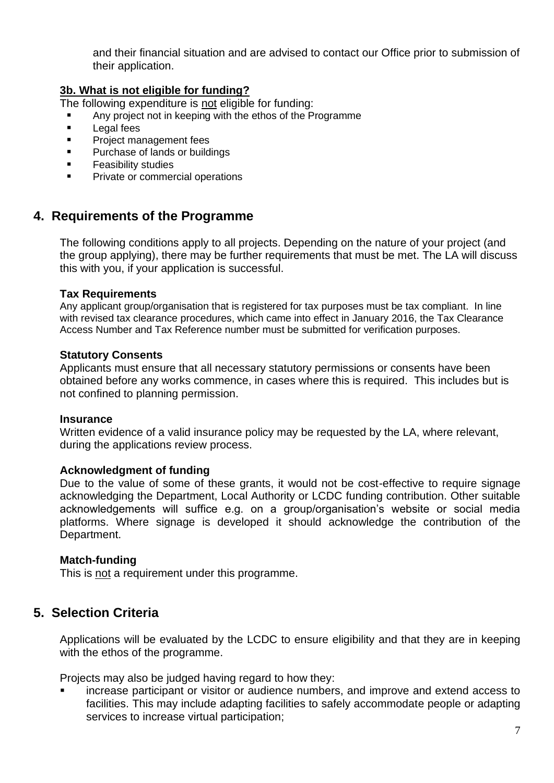and their financial situation and are advised to contact our Office prior to submission of their application.

#### **3b. What is not eligible for funding?**

The following expenditure is not eligible for funding:

- Any project not in keeping with the ethos of the Programme
- Legal fees
- Project management fees
- Purchase of lands or buildings
- Feasibility studies
- Private or commercial operations

## **4. Requirements of the Programme**

The following conditions apply to all projects. Depending on the nature of your project (and the group applying), there may be further requirements that must be met. The LA will discuss this with you, if your application is successful.

#### **Tax Requirements**

Any applicant group/organisation that is registered for tax purposes must be tax compliant. In line with revised tax clearance procedures, which came into effect in January 2016, the Tax Clearance Access Number and Tax Reference number must be submitted for verification purposes.

#### **Statutory Consents**

Applicants must ensure that all necessary statutory permissions or consents have been obtained before any works commence, in cases where this is required. This includes but is not confined to planning permission.

#### **Insurance**

Written evidence of a valid insurance policy may be requested by the LA, where relevant, during the applications review process.

#### **Acknowledgment of funding**

Due to the value of some of these grants, it would not be cost-effective to require signage acknowledging the Department, Local Authority or LCDC funding contribution. Other suitable acknowledgements will suffice e.g. on a group/organisation's website or social media platforms. Where signage is developed it should acknowledge the contribution of the Department.

#### **Match-funding**

This is not a requirement under this programme.

## **5. Selection Criteria**

Applications will be evaluated by the LCDC to ensure eligibility and that they are in keeping with the ethos of the programme.

Projects may also be judged having regard to how they:

increase participant or visitor or audience numbers, and improve and extend access to facilities. This may include adapting facilities to safely accommodate people or adapting services to increase virtual participation;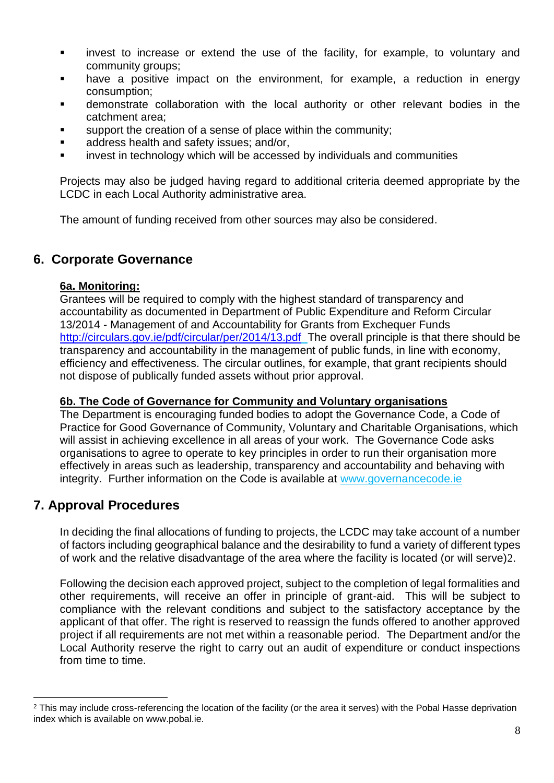- invest to increase or extend the use of the facility, for example, to voluntary and community groups;
- have a positive impact on the environment, for example, a reduction in energy consumption;
- demonstrate collaboration with the local authority or other relevant bodies in the catchment area;
- support the creation of a sense of place within the community;
- address health and safety issues; and/or,
- invest in technology which will be accessed by individuals and communities

Projects may also be judged having regard to additional criteria deemed appropriate by the LCDC in each Local Authority administrative area.

The amount of funding received from other sources may also be considered.

## **6. Corporate Governance**

#### **6a. Monitoring:**

Grantees will be required to comply with the highest standard of transparency and accountability as documented in Department of Public Expenditure and Reform Circular 13/2014 - Management of and Accountability for Grants from Exchequer Funds <http://circulars.gov.ie/pdf/circular/per/2014/13.pdf>The overall principle is that there should be transparency and accountability in the management of public funds, in line with economy, efficiency and effectiveness. The circular outlines, for example, that grant recipients should not dispose of publically funded assets without prior approval.

#### **6b. The Code of Governance for Community and Voluntary organisations**

The Department is encouraging funded bodies to adopt the Governance Code, a Code of Practice for Good Governance of Community, Voluntary and Charitable Organisations, which will assist in achieving excellence in all areas of your work. The Governance Code asks organisations to agree to operate to key principles in order to run their organisation more effectively in areas such as leadership, transparency and accountability and behaving with integrity. Further information on the Code is available at [www.governancecode.ie](http://www.governancecode.ie/)

## **7. Approval Procedures**

In deciding the final allocations of funding to projects, the LCDC may take account of a number of factors including geographical balance and the desirability to fund a variety of different types of work and the relative disadvantage of the area where the facility is located (or will serve)2.

Following the decision each approved project, subject to the completion of legal formalities and other requirements, will receive an offer in principle of grant-aid. This will be subject to compliance with the relevant conditions and subject to the satisfactory acceptance by the applicant of that offer. The right is reserved to reassign the funds offered to another approved project if all requirements are not met within a reasonable period. The Department and/or the Local Authority reserve the right to carry out an audit of expenditure or conduct inspections from time to time.

<sup>&</sup>lt;sup>2</sup> This may include cross-referencing the location of the facility (or the area it serves) with the Pobal Hasse deprivation index which is available on www.pobal.ie.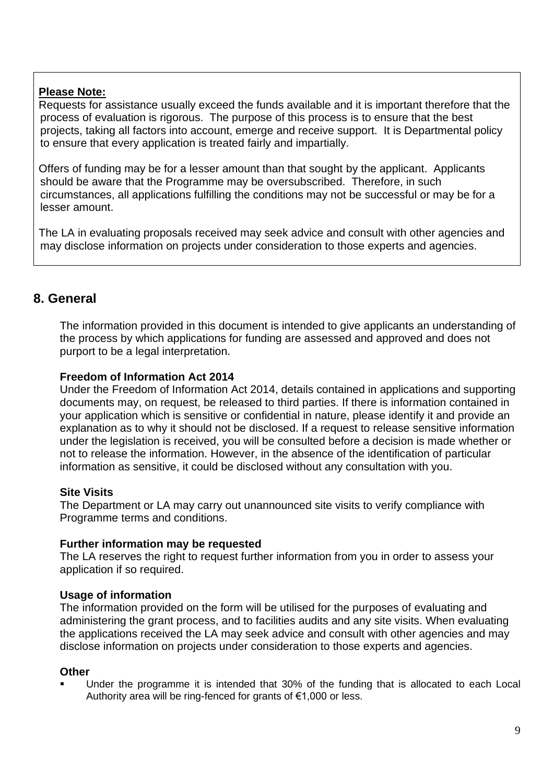## **Please Note:**

Requests for assistance usually exceed the funds available and it is important therefore that the process of evaluation is rigorous. The purpose of this process is to ensure that the best projects, taking all factors into account, emerge and receive support. It is Departmental policy to ensure that every application is treated fairly and impartially.

Offers of funding may be for a lesser amount than that sought by the applicant. Applicants should be aware that the Programme may be oversubscribed. Therefore, in such circumstances, all applications fulfilling the conditions may not be successful or may be for a lesser amount.

The LA in evaluating proposals received may seek advice and consult with other agencies and may disclose information on projects under consideration to those experts and agencies.

## **8. General**

The information provided in this document is intended to give applicants an understanding of the process by which applications for funding are assessed and approved and does not purport to be a legal interpretation.

#### **Freedom of Information Act 2014**

Under the Freedom of Information Act 2014, details contained in applications and supporting documents may, on request, be released to third parties. If there is information contained in your application which is sensitive or confidential in nature, please identify it and provide an explanation as to why it should not be disclosed. If a request to release sensitive information under the legislation is received, you will be consulted before a decision is made whether or not to release the information. However, in the absence of the identification of particular information as sensitive, it could be disclosed without any consultation with you.

#### **Site Visits**

The Department or LA may carry out unannounced site visits to verify compliance with Programme terms and conditions.

#### **Further information may be requested**

The LA reserves the right to request further information from you in order to assess your application if so required.

#### **Usage of information**

The information provided on the form will be utilised for the purposes of evaluating and administering the grant process, and to facilities audits and any site visits. When evaluating the applications received the LA may seek advice and consult with other agencies and may disclose information on projects under consideration to those experts and agencies.

#### **Other**

Under the programme it is intended that 30% of the funding that is allocated to each Local Authority area will be ring-fenced for grants of €1,000 or less.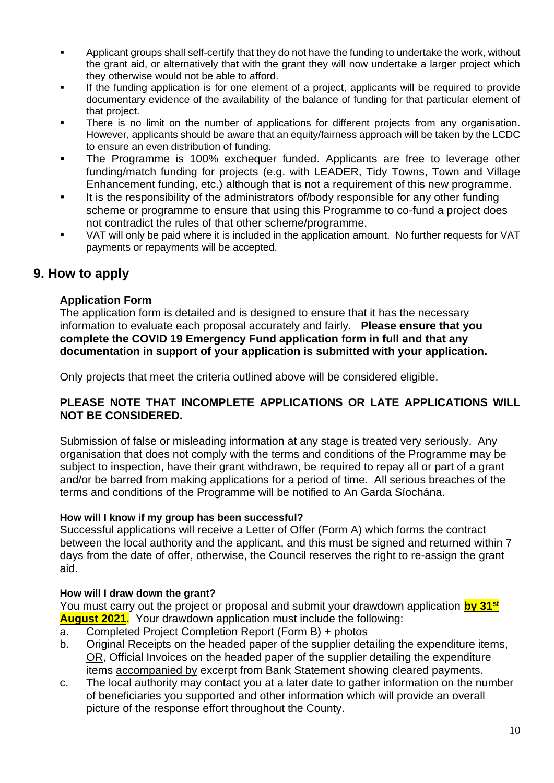- Applicant groups shall self-certify that they do not have the funding to undertake the work. without the grant aid, or alternatively that with the grant they will now undertake a larger project which they otherwise would not be able to afford.
- If the funding application is for one element of a project, applicants will be required to provide documentary evidence of the availability of the balance of funding for that particular element of that project.
- There is no limit on the number of applications for different projects from any organisation. However, applicants should be aware that an equity/fairness approach will be taken by the LCDC to ensure an even distribution of funding.
- The Programme is 100% exchequer funded. Applicants are free to leverage other funding/match funding for projects (e.g. with LEADER, Tidy Towns, Town and Village Enhancement funding, etc.) although that is not a requirement of this new programme.
- It is the responsibility of the administrators of/body responsible for any other funding scheme or programme to ensure that using this Programme to co-fund a project does not contradict the rules of that other scheme/programme.
- VAT will only be paid where it is included in the application amount. No further requests for VAT payments or repayments will be accepted.

## **9. How to apply**

## **Application Form**

The application form is detailed and is designed to ensure that it has the necessary information to evaluate each proposal accurately and fairly. **Please ensure that you complete the COVID 19 Emergency Fund application form in full and that any documentation in support of your application is submitted with your application.**

Only projects that meet the criteria outlined above will be considered eligible.

#### **PLEASE NOTE THAT INCOMPLETE APPLICATIONS OR LATE APPLICATIONS WILL NOT BE CONSIDERED.**

Submission of false or misleading information at any stage is treated very seriously. Any organisation that does not comply with the terms and conditions of the Programme may be subject to inspection, have their grant withdrawn, be required to repay all or part of a grant and/or be barred from making applications for a period of time. All serious breaches of the terms and conditions of the Programme will be notified to An Garda Síochána.

## **How will I know if my group has been successful?**

Successful applications will receive a Letter of Offer (Form A) which forms the contract between the local authority and the applicant, and this must be signed and returned within 7 days from the date of offer, otherwise, the Council reserves the right to re-assign the grant aid.

## **How will I draw down the grant?**

You must carry out the project or proposal and submit your drawdown application **by 31st August 2021.** Your drawdown application must include the following:

- a. Completed Project Completion Report (Form B) + photos
- b. Original Receipts on the headed paper of the supplier detailing the expenditure items, OR, Official Invoices on the headed paper of the supplier detailing the expenditure items accompanied by excerpt from Bank Statement showing cleared payments.
- c. The local authority may contact you at a later date to gather information on the number of beneficiaries you supported and other information which will provide an overall picture of the response effort throughout the County.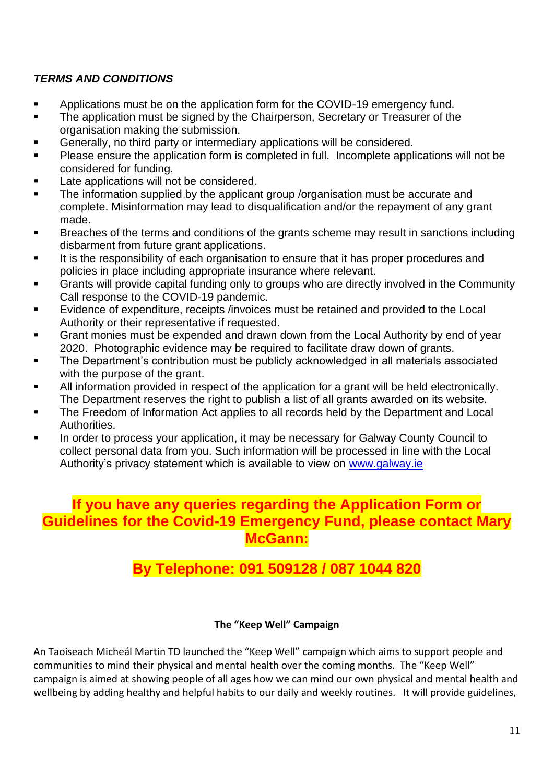## *TERMS AND CONDITIONS*

- Applications must be on the application form for the COVID-19 emergency fund.
- The application must be signed by the Chairperson, Secretary or Treasurer of the organisation making the submission.
- Generally, no third party or intermediary applications will be considered.
- Please ensure the application form is completed in full. Incomplete applications will not be considered for funding.
- Late applications will not be considered.
- The information supplied by the applicant group /organisation must be accurate and complete. Misinformation may lead to disqualification and/or the repayment of any grant made.
- Breaches of the terms and conditions of the grants scheme may result in sanctions including disbarment from future grant applications.
- It is the responsibility of each organisation to ensure that it has proper procedures and policies in place including appropriate insurance where relevant.
- Grants will provide capital funding only to groups who are directly involved in the Community Call response to the COVID-19 pandemic.
- Evidence of expenditure, receipts /invoices must be retained and provided to the Local Authority or their representative if requested.
- Grant monies must be expended and drawn down from the Local Authority by end of year 2020. Photographic evidence may be required to facilitate draw down of grants.
- The Department's contribution must be publicly acknowledged in all materials associated with the purpose of the grant.
- All information provided in respect of the application for a grant will be held electronically. The Department reserves the right to publish a list of all grants awarded on its website.
- The Freedom of Information Act applies to all records held by the Department and Local **Authorities**
- In order to process your application, it may be necessary for Galway County Council to collect personal data from you. Such information will be processed in line with the Local Authority's privacy statement which is available to view on [www.galway.ie](http://www.galway.ie/)

## **If you have any queries regarding the Application Form or Guidelines for the Covid-19 Emergency Fund, please contact Mary McGann:**

# **By Telephone: 091 509128 / 087 1044 820**

## **The "Keep Well" Campaign**

An Taoiseach Micheál Martin TD launched the "Keep Well" campaign which aims to support people and communities to mind their physical and mental health over the coming months. The "Keep Well" campaign is aimed at showing people of all ages how we can mind our own physical and mental health and wellbeing by adding healthy and helpful habits to our daily and weekly routines. It will provide guidelines,